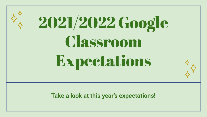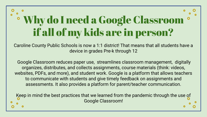## Why do I need a Google Classroom if all of my kids are in person?

Caroline County Public Schools is now a 1:1 district! That means that all students have a device in grades Pre-k through 12

 Google Classroom reduces paper use, streamlines classroom management, digitally organizes, distributes, and collects assignments, course materials (think: videos, websites, PDFs, and more), and student work. Google is a platform that allows teachers to communicate with students and give timely feedback on assignments and assessments. It also provides a platform for parent/teacher communication.

Keep in mind the best practices that we learned from the pandemic through the use of Google Classroom!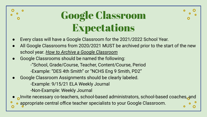## Google Classroom Expectations

- Every class will have a Google Classroom for the 2021/2022 School Year.
- All Google Classrooms from 2020/2021 MUST be archived prior to the start of the new school year. *[How to Archive a Google Classroom](https://docs.google.com/document/d/1jiQf-fgI-aR31JYCAeIyY92V_0NJooFcwLudTQDlkmI/edit?usp=sharing)*
- Google Classrooms should be named the following:

-"School, Grade/Course, Teacher, Content/Course, Period -Example: "DES 4th Smith" or "NCHS Eng 9 Smith, PD2"

Google Classroom Assignments should be clearly labeled.

-Example: 9/15/21 ELA Weekly Journal

-Non-Example: Weekly Journal

- Invite necessary co-teachers, school-based administrators, school-based coaches, and
- appropriate central office teacher specialists to your Google Classroom.